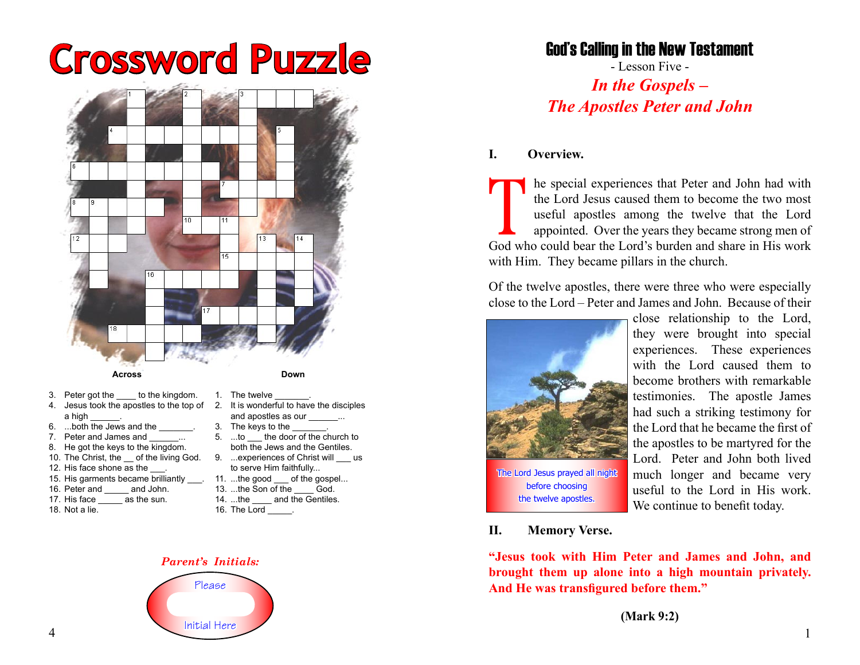# **Crossword Puzzle**



- 4. Jesus took the apostles to the top of 2. It is wonderful to have the disciples a high
- 6. ...both the Jews and the
- 7. Peter and James and ...
- 8. He got the keys to the kingdom.
- 
- 12. His face shone as the
- 15. His garments became brilliantly \_\_\_. 11. ...the good \_\_\_ of the gospel...
- 16. Peter and \_\_\_\_ and John.
- 17. His face as the sun.
- 18. Not a lie.
- and apostles as our 3. The keys to the 5. ...to the door of the church to both the Jews and the Gentiles. 10. The Christ, the  $\_\$ of the living God. 9. ...experiences of Christ will  $\_\_\$ us
	- to serve Him faithfully...
	- 13. ...the Son of the God.
	- 14. ...the and the Gentiles.
	- 16. The Lord \_\_\_\_\_.



# Please Initial Here

## God's Calling in the New Testament

- Lesson Five - *In the Gospels – The Apostles Peter and John*

#### **I. Overview.**

The special experiences that Peter and John had with<br>the Lord Jesus caused them to become the two most<br>useful apostles among the twelve that the Lord<br>appointed. Over the years they became strong men of<br>God who could bear t the Lord Jesus caused them to become the two most useful apostles among the twelve that the Lord appointed. Over the years they became strong men of God who could bear the Lord's burden and share in His work with Him. They became pillars in the church.

Of the twelve apostles, there were three who were especially close to the Lord – Peter and James and John. Because of their



before choosing the twelve apostles.

close relationship to the Lord, they were brought into special experiences. These experiences with the Lord caused them to become brothers with remarkable testimonies. The apostle James had such a striking testimony for the Lord that he became the first of the apostles to be martyred for the Lord. Peter and John both lived much longer and became very useful to the Lord in His work. We continue to benefit today.

#### **II. Memory Verse.**

**"Jesus took with Him Peter and James and John, and brought them up alone into a high mountain privately. And He was transfigured before them."**

**(Mark 9:2)**